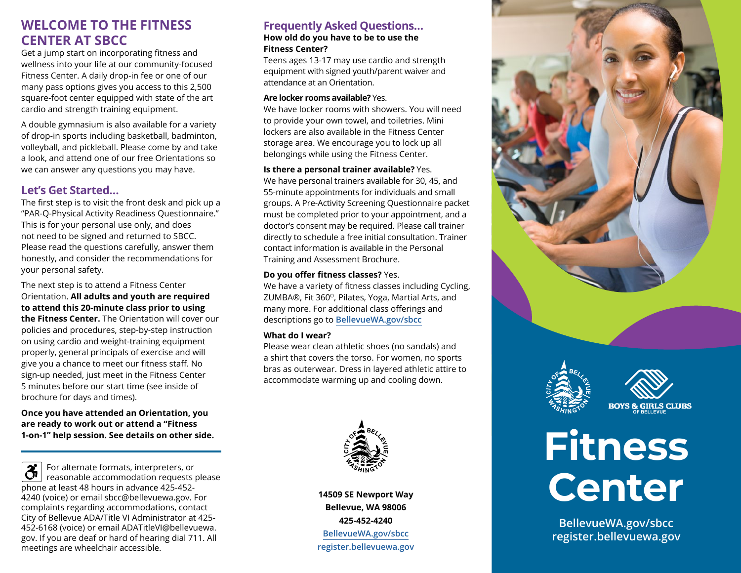# **WELCOME TO THE FITNESS CENTER AT SBCC**

Get a jump start on incorporating fitness and wellness into your life at our community-focused Fitness Center. A daily drop-in fee or one of our many pass options gives you access to this 2,500 square-foot center equipped with state of the art cardio and strength training equipment.

A double gymnasium is also available for a variety of drop-in sports including basketball, badminton, volleyball, and pickleball. Please come by and take a look, and attend one of our free Orientations so we can answer any questions you may have.

## **Let's Get Started…**

The first step is to visit the front desk and pick up a "PAR-Q-Physical Activity Readiness Questionnaire." This is for your personal use only, and does not need to be signed and returned to SBCC. Please read the questions carefully, answer them honestly, and consider the recommendations for your personal safety.

The next step is to attend a Fitness Center Orientation. **All adults and youth are required to attend this 20-minute class prior to using the Fitness Center.** The Orientation will cover our policies and procedures, step-by-step instruction on using cardio and weight-training equipment properly, general principals of exercise and will give you a chance to meet our fitness staff. No sign-up needed, just meet in the Fitness Center 5 minutes before our start time (see inside of brochure for days and times).

**Once you have attended an Orientation, you are ready to work out or attend a "Fitness 1-on-1" help session. See details on other side.** 

 $\overline{\mathfrak{F}}$ For alternate formats, interpreters, or reasonable accommodation requests please phone at least 48 hours in advance 425-452- 4240 (voice) or email sbcc@bellevuewa.gov. For complaints regarding accommodations, contact City of Bellevue ADA/Title VI Administrator at 425- 452-6168 (voice) or email ADATitleVI@bellevuewa. gov. If you are deaf or hard of hearing dial 711. All meetings are wheelchair accessible.

# **Frequently Asked Questions…**

#### **How old do you have to be to use the Fitness Center?**

Teens ages 13-17 may use cardio and strength equipment with signed youth/parent waiver and attendance at an Orientation.

### **Are locker rooms available?** Yes.

We have locker rooms with showers. You will need to provide your own towel, and toiletries. Mini lockers are also available in the Fitness Center storage area. We encourage you to lock up all belongings while using the Fitness Center.

### **Is there a personal trainer available?** Yes.

We have personal trainers available for 30, 45, and 55-minute appointments for individuals and small groups. A Pre-Activity Screening Questionnaire packet must be completed prior to your appointment, and a doctor's consent may be required. Please call trainer directly to schedule a free initial consultation. Trainer contact information is available in the Personal Training and Assessment Brochure.

### **Do you offer fitness classes?** Yes.

We have a variety of fitness classes including Cycling, ZUMBA®, Fit 360°, Pilates, Yoga, Martial Arts, and many more. For additional class offerings and descriptions go to **[BellevueWA.gov](https://bellevuewa.gov/)/sbcc**

## **What do I wear?**

Please wear clean athletic shoes (no sandals) and a shirt that covers the torso. For women, no sports bras as outerwear. Dress in layered athletic attire to accommodate warming up and cooling down.



**14509 SE Newport Way Bellevue, WA 98006 425-452-4240 [BellevueWA.gov](https://bellevuewa.gov/)/sbcc [register.bellevuewa.gov](https://register.bellevuewa.gov/php/onlinereg/#/bvuewa/login)**





**BOYS & GIRLS CLUBS** 



**[BellevueWA.gov/](https://bellevuewa.gov/)sbcc [register.bellevuewa.gov](https://register.bellevuewa.gov/php/onlinereg/#/bvuewa/login)**